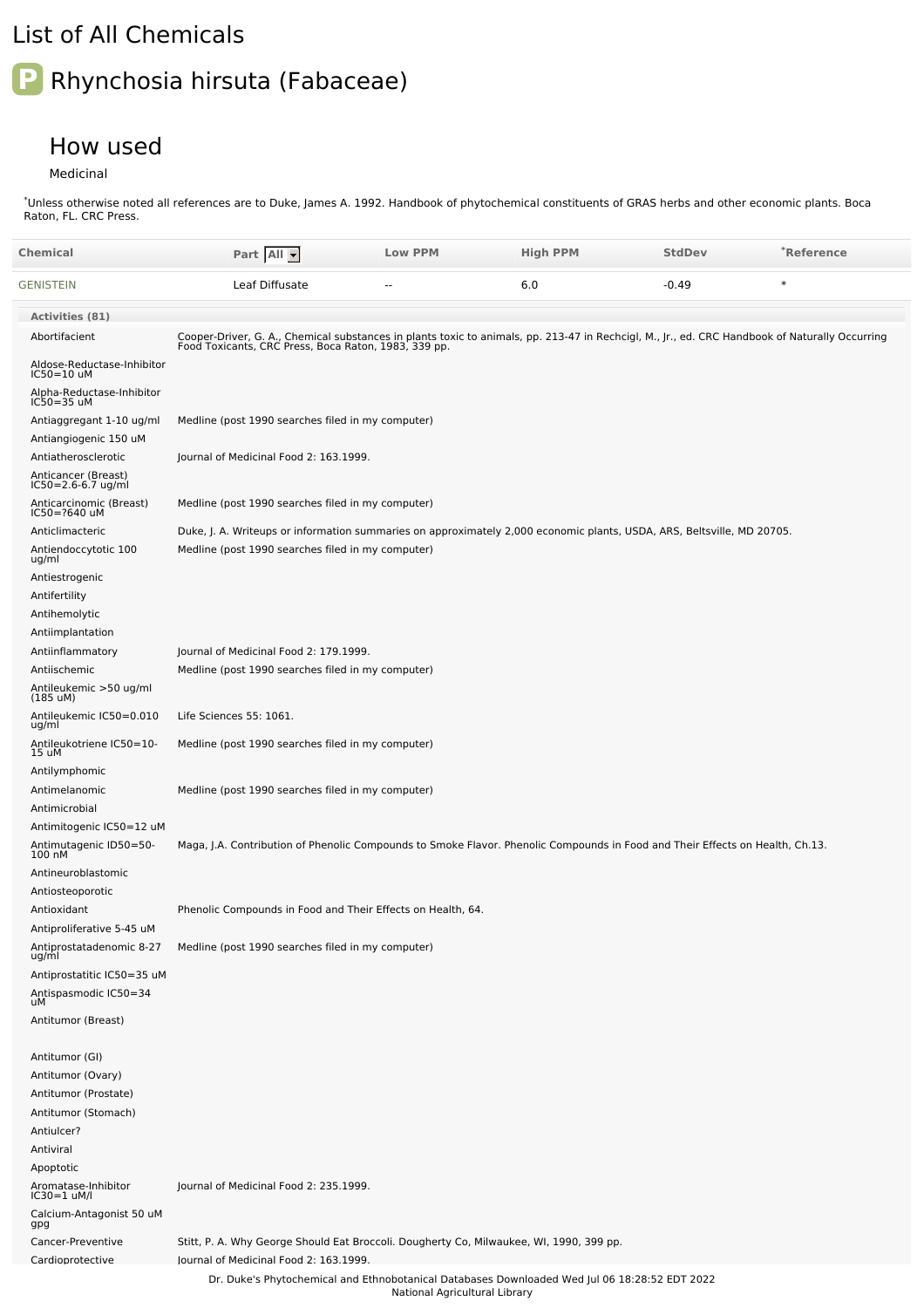## List of All Chemicals

## **P** Rhynchosia hirsuta (Fabaceae)

## How used

Medicinal

Unless otherwise noted all references are to Duke, James A. 1992. Handbook of phytochemical constituents of GRAS herbs and other economic plants. Boca Raton, FL. CRC Press. \*

| Chemical                                              | Part All                                                                                                                                                                                               | <b>Low PPM</b>                | <b>High PPM</b>                                                                               | <b>StdDev</b> | *Reference |
|-------------------------------------------------------|--------------------------------------------------------------------------------------------------------------------------------------------------------------------------------------------------------|-------------------------------|-----------------------------------------------------------------------------------------------|---------------|------------|
| GENISTEIN                                             | Leaf Diffusate                                                                                                                                                                                         | $\overline{a}$                | 6.0                                                                                           | $-0.49$       | $\ast$     |
| Activities (81)                                       |                                                                                                                                                                                                        |                               |                                                                                               |               |            |
| Abortifacient                                         | Cooper-Driver, G. A., Chemical substances in plants toxic to animals, pp. 213-47 in Rechcigl, M., Jr., ed. CRC Handbook of Naturally Occurring<br>Food Toxicants, CRC Press, Boca Raton, 1983, 339 pp. |                               |                                                                                               |               |            |
| Aldose-Reductase-Inhibitor<br>IC50=10 uM              |                                                                                                                                                                                                        |                               |                                                                                               |               |            |
| Alpha-Reductase-Inhibitor<br>IC50=35 uM               |                                                                                                                                                                                                        |                               |                                                                                               |               |            |
| Antiaggregant 1-10 ug/ml                              | Medline (post 1990 searches filed in my computer)                                                                                                                                                      |                               |                                                                                               |               |            |
| Antiangiogenic 150 uM                                 |                                                                                                                                                                                                        |                               |                                                                                               |               |            |
| Antiatherosclerotic                                   | Journal of Medicinal Food 2: 163.1999.                                                                                                                                                                 |                               |                                                                                               |               |            |
| Anticancer (Breast)<br>IC50=2.6-6.7 ug/ml             |                                                                                                                                                                                                        |                               |                                                                                               |               |            |
| Anticarcinomic (Breast)<br>IC50=?640 uM               | Medline (post 1990 searches filed in my computer)                                                                                                                                                      |                               |                                                                                               |               |            |
| Anticlimacteric                                       | Duke, J. A. Writeups or information summaries on approximately 2,000 economic plants, USDA, ARS, Beltsville, MD 20705.                                                                                 |                               |                                                                                               |               |            |
| Antiendoccytotic 100<br>ug/ml                         | Medline (post 1990 searches filed in my computer)                                                                                                                                                      |                               |                                                                                               |               |            |
| Antiestrogenic                                        |                                                                                                                                                                                                        |                               |                                                                                               |               |            |
| Antifertility                                         |                                                                                                                                                                                                        |                               |                                                                                               |               |            |
| Antihemolytic                                         |                                                                                                                                                                                                        |                               |                                                                                               |               |            |
| Antiimplantation                                      | Journal of Medicinal Food 2: 179.1999.                                                                                                                                                                 |                               |                                                                                               |               |            |
| Antiinflammatory<br>Antiischemic                      | Medline (post 1990 searches filed in my computer)                                                                                                                                                      |                               |                                                                                               |               |            |
| Antileukemic >50 ug/ml<br>(185 uM)                    |                                                                                                                                                                                                        |                               |                                                                                               |               |            |
| Antileukemic IC50=0.010<br>ug/ml                      | Life Sciences 55: 1061.                                                                                                                                                                                |                               |                                                                                               |               |            |
| Antileukotriene IC50=10-<br>15 uM                     | Medline (post 1990 searches filed in my computer)                                                                                                                                                      |                               |                                                                                               |               |            |
| Antilymphomic                                         |                                                                                                                                                                                                        |                               |                                                                                               |               |            |
| Antimelanomic                                         | Medline (post 1990 searches filed in my computer)                                                                                                                                                      |                               |                                                                                               |               |            |
| Antimicrobial<br>Antimitogenic IC50=12 uM             |                                                                                                                                                                                                        |                               |                                                                                               |               |            |
| Antimutagenic ID50=50-<br>100 nM                      | Maga, J.A. Contribution of Phenolic Compounds to Smoke Flavor. Phenolic Compounds in Food and Their Effects on Health, Ch.13.                                                                          |                               |                                                                                               |               |            |
| Antineuroblastomic                                    |                                                                                                                                                                                                        |                               |                                                                                               |               |            |
| Antiosteoporotic                                      |                                                                                                                                                                                                        |                               |                                                                                               |               |            |
| Antioxidant                                           | Phenolic Compounds in Food and Their Effects on Health, 64.                                                                                                                                            |                               |                                                                                               |               |            |
| Antiproliferative 5-45 uM<br>Antiprostatadenomic 8-27 | Medline (post 1990 searches filed in my computer)                                                                                                                                                      |                               |                                                                                               |               |            |
| ug/ml                                                 |                                                                                                                                                                                                        |                               |                                                                                               |               |            |
| Antiprostatitic IC50=35 uM                            |                                                                                                                                                                                                        |                               |                                                                                               |               |            |
| Antispasmodic IC50=34<br>uM                           |                                                                                                                                                                                                        |                               |                                                                                               |               |            |
| Antitumor (Breast)                                    |                                                                                                                                                                                                        |                               |                                                                                               |               |            |
| Antitumor (GI)                                        |                                                                                                                                                                                                        |                               |                                                                                               |               |            |
| Antitumor (Ovary)                                     |                                                                                                                                                                                                        |                               |                                                                                               |               |            |
| Antitumor (Prostate)                                  |                                                                                                                                                                                                        |                               |                                                                                               |               |            |
| Antitumor (Stomach)                                   |                                                                                                                                                                                                        |                               |                                                                                               |               |            |
| Antiulcer?<br>Antiviral                               |                                                                                                                                                                                                        |                               |                                                                                               |               |            |
| Apoptotic                                             |                                                                                                                                                                                                        |                               |                                                                                               |               |            |
| Aromatase-Inhibitor<br>IC30=1 uM/l                    | Journal of Medicinal Food 2: 235.1999.                                                                                                                                                                 |                               |                                                                                               |               |            |
| Calcium-Antagonist 50 uM<br>gpg                       |                                                                                                                                                                                                        |                               |                                                                                               |               |            |
| Cancer-Preventive                                     | Stitt, P. A. Why George Should Eat Broccoli. Dougherty Co, Milwaukee, WI, 1990, 399 pp.                                                                                                                |                               |                                                                                               |               |            |
| Cardioprotective                                      | lournal of Medicinal Food 2: 163.1999.                                                                                                                                                                 |                               | Dr. Duke's Phytochemical and Ethnobotanical Databases Downloaded Wed Jul 06 18:28:52 EDT 2022 |               |            |
|                                                       |                                                                                                                                                                                                        | National Agricultural Library |                                                                                               |               |            |